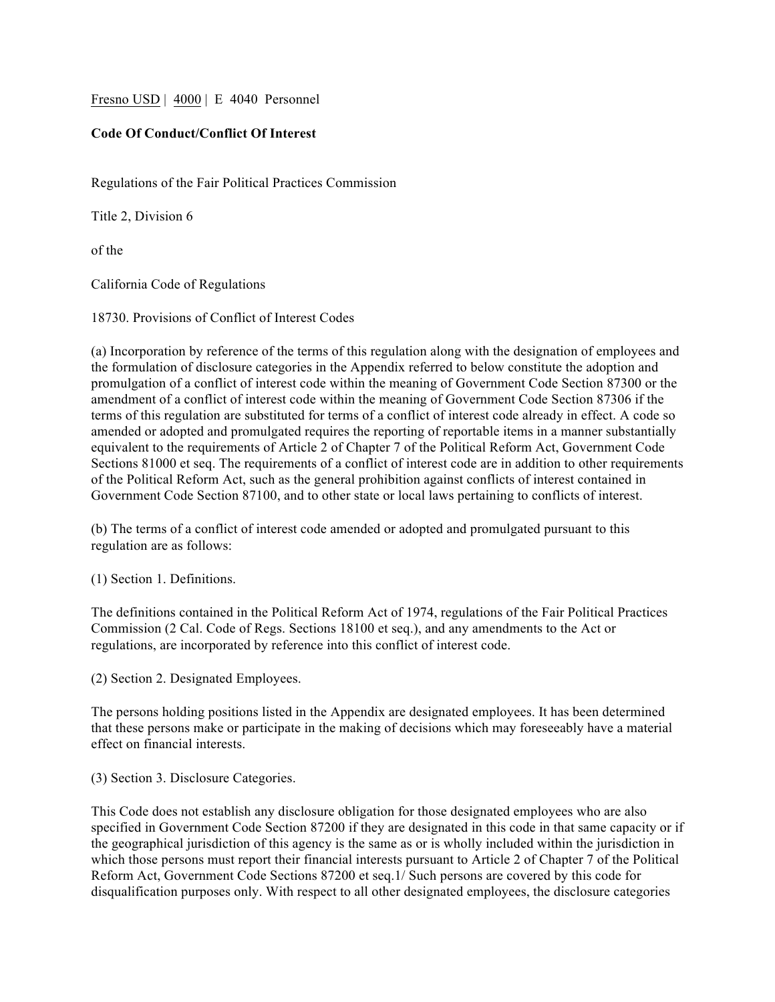Fresno USD | 4000 | E 4040 Personnel

## **Code Of Conduct/Conflict Of Interest**

Regulations of the Fair Political Practices Commission

Title 2, Division 6

of the

California Code of Regulations

18730. Provisions of Conflict of Interest Codes

(a) Incorporation by reference of the terms of this regulation along with the designation of employees and the formulation of disclosure categories in the Appendix referred to below constitute the adoption and promulgation of a conflict of interest code within the meaning of Government Code Section 87300 or the amendment of a conflict of interest code within the meaning of Government Code Section 87306 if the terms of this regulation are substituted for terms of a conflict of interest code already in effect. A code so amended or adopted and promulgated requires the reporting of reportable items in a manner substantially equivalent to the requirements of Article 2 of Chapter 7 of the Political Reform Act, Government Code Sections 81000 et seq. The requirements of a conflict of interest code are in addition to other requirements of the Political Reform Act, such as the general prohibition against conflicts of interest contained in Government Code Section 87100, and to other state or local laws pertaining to conflicts of interest.

(b) The terms of a conflict of interest code amended or adopted and promulgated pursuant to this regulation are as follows:

(1) Section 1. Definitions.

The definitions contained in the Political Reform Act of 1974, regulations of the Fair Political Practices Commission (2 Cal. Code of Regs. Sections 18100 et seq.), and any amendments to the Act or regulations, are incorporated by reference into this conflict of interest code.

(2) Section 2. Designated Employees.

The persons holding positions listed in the Appendix are designated employees. It has been determined that these persons make or participate in the making of decisions which may foreseeably have a material effect on financial interests.

(3) Section 3. Disclosure Categories.

This Code does not establish any disclosure obligation for those designated employees who are also specified in Government Code Section 87200 if they are designated in this code in that same capacity or if the geographical jurisdiction of this agency is the same as or is wholly included within the jurisdiction in which those persons must report their financial interests pursuant to Article 2 of Chapter 7 of the Political Reform Act, Government Code Sections 87200 et seq.1/ Such persons are covered by this code for disqualification purposes only. With respect to all other designated employees, the disclosure categories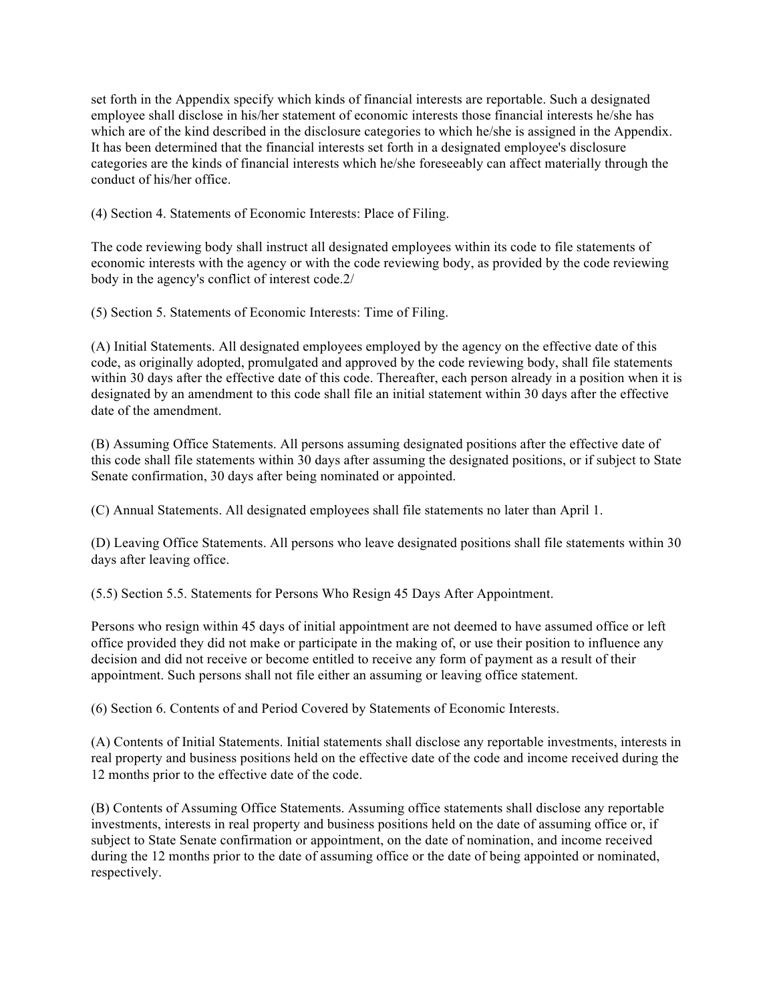set forth in the Appendix specify which kinds of financial interests are reportable. Such a designated employee shall disclose in his/her statement of economic interests those financial interests he/she has which are of the kind described in the disclosure categories to which he/she is assigned in the Appendix. It has been determined that the financial interests set forth in a designated employee's disclosure categories are the kinds of financial interests which he/she foreseeably can affect materially through the conduct of his/her office.

(4) Section 4. Statements of Economic Interests: Place of Filing.

The code reviewing body shall instruct all designated employees within its code to file statements of economic interests with the agency or with the code reviewing body, as provided by the code reviewing body in the agency's conflict of interest code.2/

(5) Section 5. Statements of Economic Interests: Time of Filing.

(A) Initial Statements. All designated employees employed by the agency on the effective date of this code, as originally adopted, promulgated and approved by the code reviewing body, shall file statements within 30 days after the effective date of this code. Thereafter, each person already in a position when it is designated by an amendment to this code shall file an initial statement within 30 days after the effective date of the amendment.

(B) Assuming Office Statements. All persons assuming designated positions after the effective date of this code shall file statements within 30 days after assuming the designated positions, or if subject to State Senate confirmation, 30 days after being nominated or appointed.

(C) Annual Statements. All designated employees shall file statements no later than April 1.

(D) Leaving Office Statements. All persons who leave designated positions shall file statements within 30 days after leaving office.

(5.5) Section 5.5. Statements for Persons Who Resign 45 Days After Appointment.

Persons who resign within 45 days of initial appointment are not deemed to have assumed office or left office provided they did not make or participate in the making of, or use their position to influence any decision and did not receive or become entitled to receive any form of payment as a result of their appointment. Such persons shall not file either an assuming or leaving office statement.

(6) Section 6. Contents of and Period Covered by Statements of Economic Interests.

(A) Contents of Initial Statements. Initial statements shall disclose any reportable investments, interests in real property and business positions held on the effective date of the code and income received during the 12 months prior to the effective date of the code.

(B) Contents of Assuming Office Statements. Assuming office statements shall disclose any reportable investments, interests in real property and business positions held on the date of assuming office or, if subject to State Senate confirmation or appointment, on the date of nomination, and income received during the 12 months prior to the date of assuming office or the date of being appointed or nominated, respectively.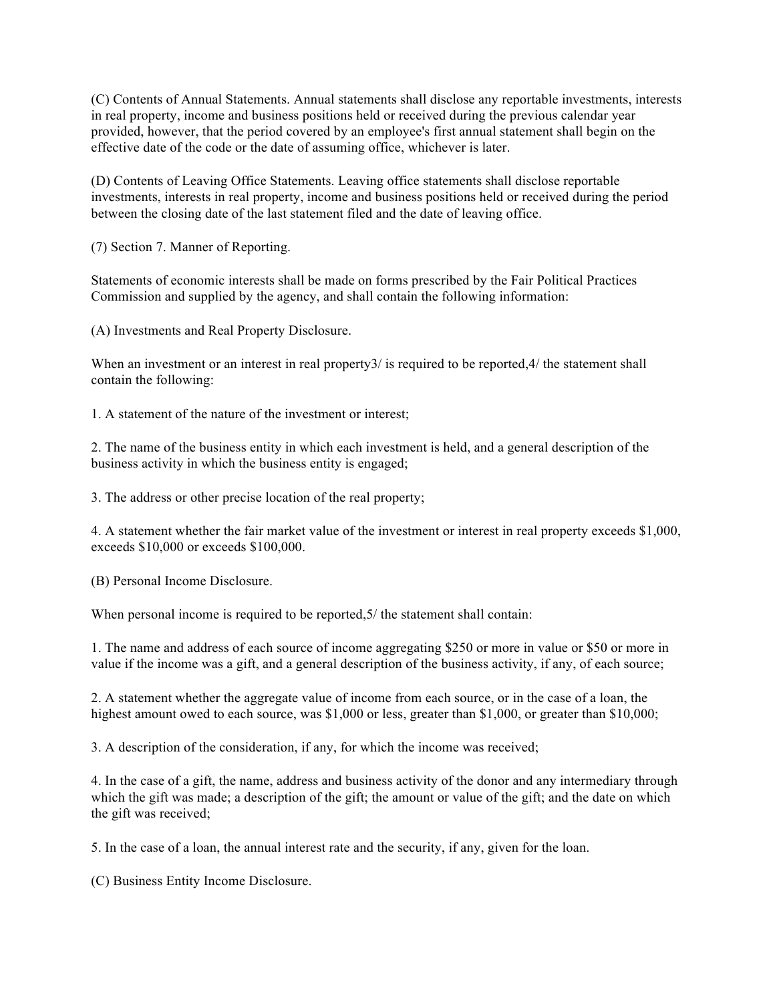(C) Contents of Annual Statements. Annual statements shall disclose any reportable investments, interests in real property, income and business positions held or received during the previous calendar year provided, however, that the period covered by an employee's first annual statement shall begin on the effective date of the code or the date of assuming office, whichever is later.

(D) Contents of Leaving Office Statements. Leaving office statements shall disclose reportable investments, interests in real property, income and business positions held or received during the period between the closing date of the last statement filed and the date of leaving office.

(7) Section 7. Manner of Reporting.

Statements of economic interests shall be made on forms prescribed by the Fair Political Practices Commission and supplied by the agency, and shall contain the following information:

(A) Investments and Real Property Disclosure.

When an investment or an interest in real property 3/ is required to be reported, 4/ the statement shall contain the following:

1. A statement of the nature of the investment or interest;

2. The name of the business entity in which each investment is held, and a general description of the business activity in which the business entity is engaged;

3. The address or other precise location of the real property;

4. A statement whether the fair market value of the investment or interest in real property exceeds \$1,000, exceeds \$10,000 or exceeds \$100,000.

(B) Personal Income Disclosure.

When personal income is required to be reported, 5/ the statement shall contain:

1. The name and address of each source of income aggregating \$250 or more in value or \$50 or more in value if the income was a gift, and a general description of the business activity, if any, of each source;

2. A statement whether the aggregate value of income from each source, or in the case of a loan, the highest amount owed to each source, was \$1,000 or less, greater than \$1,000, or greater than \$10,000;

3. A description of the consideration, if any, for which the income was received;

4. In the case of a gift, the name, address and business activity of the donor and any intermediary through which the gift was made; a description of the gift; the amount or value of the gift; and the date on which the gift was received;

5. In the case of a loan, the annual interest rate and the security, if any, given for the loan.

(C) Business Entity Income Disclosure.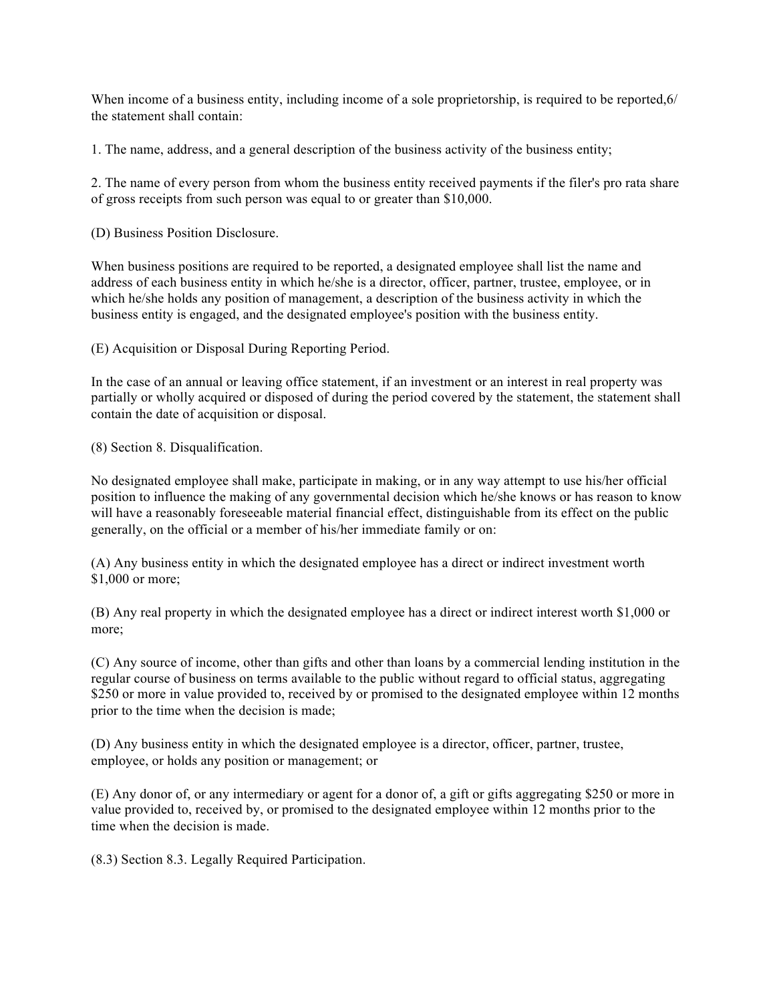When income of a business entity, including income of a sole proprietorship, is required to be reported, 6/ the statement shall contain:

1. The name, address, and a general description of the business activity of the business entity;

2. The name of every person from whom the business entity received payments if the filer's pro rata share of gross receipts from such person was equal to or greater than \$10,000.

(D) Business Position Disclosure.

When business positions are required to be reported, a designated employee shall list the name and address of each business entity in which he/she is a director, officer, partner, trustee, employee, or in which he/she holds any position of management, a description of the business activity in which the business entity is engaged, and the designated employee's position with the business entity.

(E) Acquisition or Disposal During Reporting Period.

In the case of an annual or leaving office statement, if an investment or an interest in real property was partially or wholly acquired or disposed of during the period covered by the statement, the statement shall contain the date of acquisition or disposal.

(8) Section 8. Disqualification.

No designated employee shall make, participate in making, or in any way attempt to use his/her official position to influence the making of any governmental decision which he/she knows or has reason to know will have a reasonably foreseeable material financial effect, distinguishable from its effect on the public generally, on the official or a member of his/her immediate family or on:

(A) Any business entity in which the designated employee has a direct or indirect investment worth \$1,000 or more;

(B) Any real property in which the designated employee has a direct or indirect interest worth \$1,000 or more;

(C) Any source of income, other than gifts and other than loans by a commercial lending institution in the regular course of business on terms available to the public without regard to official status, aggregating \$250 or more in value provided to, received by or promised to the designated employee within 12 months prior to the time when the decision is made;

(D) Any business entity in which the designated employee is a director, officer, partner, trustee, employee, or holds any position or management; or

(E) Any donor of, or any intermediary or agent for a donor of, a gift or gifts aggregating \$250 or more in value provided to, received by, or promised to the designated employee within 12 months prior to the time when the decision is made.

(8.3) Section 8.3. Legally Required Participation.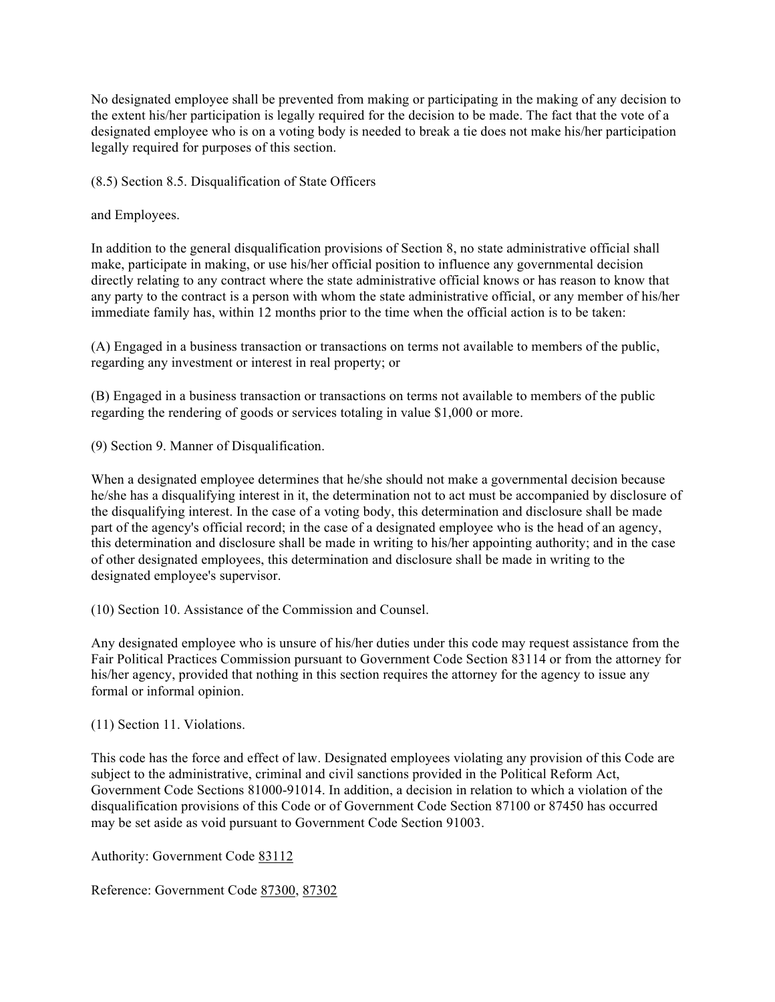No designated employee shall be prevented from making or participating in the making of any decision to the extent his/her participation is legally required for the decision to be made. The fact that the vote of a designated employee who is on a voting body is needed to break a tie does not make his/her participation legally required for purposes of this section.

(8.5) Section 8.5. Disqualification of State Officers

and Employees.

In addition to the general disqualification provisions of Section 8, no state administrative official shall make, participate in making, or use his/her official position to influence any governmental decision directly relating to any contract where the state administrative official knows or has reason to know that any party to the contract is a person with whom the state administrative official, or any member of his/her immediate family has, within 12 months prior to the time when the official action is to be taken:

(A) Engaged in a business transaction or transactions on terms not available to members of the public, regarding any investment or interest in real property; or

(B) Engaged in a business transaction or transactions on terms not available to members of the public regarding the rendering of goods or services totaling in value \$1,000 or more.

(9) Section 9. Manner of Disqualification.

When a designated employee determines that he/she should not make a governmental decision because he/she has a disqualifying interest in it, the determination not to act must be accompanied by disclosure of the disqualifying interest. In the case of a voting body, this determination and disclosure shall be made part of the agency's official record; in the case of a designated employee who is the head of an agency, this determination and disclosure shall be made in writing to his/her appointing authority; and in the case of other designated employees, this determination and disclosure shall be made in writing to the designated employee's supervisor.

(10) Section 10. Assistance of the Commission and Counsel.

Any designated employee who is unsure of his/her duties under this code may request assistance from the Fair Political Practices Commission pursuant to Government Code Section 83114 or from the attorney for his/her agency, provided that nothing in this section requires the attorney for the agency to issue any formal or informal opinion.

(11) Section 11. Violations.

This code has the force and effect of law. Designated employees violating any provision of this Code are subject to the administrative, criminal and civil sanctions provided in the Political Reform Act, Government Code Sections 81000-91014. In addition, a decision in relation to which a violation of the disqualification provisions of this Code or of Government Code Section 87100 or 87450 has occurred may be set aside as void pursuant to Government Code Section 91003.

Authority: Government Code 83112

Reference: Government Code 87300, 87302